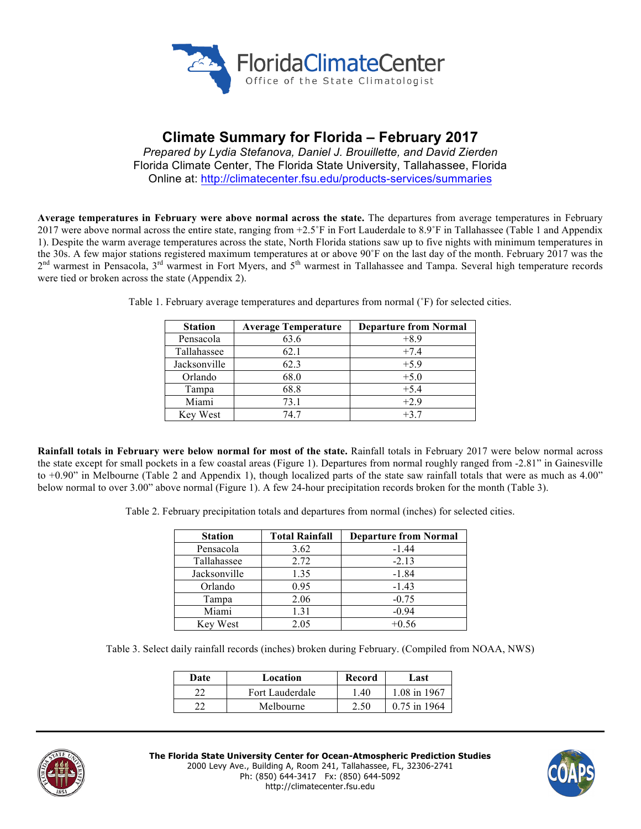

# **Climate Summary for Florida – February 2017**

*Prepared by Lydia Stefanova, Daniel J. Brouillette, and David Zierden* Florida Climate Center, The Florida State University, Tallahassee, Florida Online at: http://climatecenter.fsu.edu/products-services/summaries

**Average temperatures in February were above normal across the state.** The departures from average temperatures in February 2017 were above normal across the entire state, ranging from +2.5˚F in Fort Lauderdale to 8.9˚F in Tallahassee (Table 1 and Appendix 1). Despite the warm average temperatures across the state, North Florida stations saw up to five nights with minimum temperatures in the 30s. A few major stations registered maximum temperatures at or above 90˚F on the last day of the month. February 2017 was the 2<sup>nd</sup> warmest in Pensacola, 3<sup>rd</sup> warmest in Fort Myers, and 5<sup>th</sup> warmest in Tallahassee and Tampa. Several high temperature records were tied or broken across the state (Appendix 2).

| <b>Station</b> | <b>Average Temperature</b> | <b>Departure from Normal</b> |
|----------------|----------------------------|------------------------------|
| Pensacola      | 63.6                       | $+8.9$                       |
| Tallahassee    | 62.1                       | $+7.4$                       |
| Jacksonville   | 62.3                       | $+5.9$                       |
| Orlando        | 68.0                       | $+5.0$                       |
| Tampa          | 68.8                       | $+5.4$                       |
| Miami          | 73.1                       | $+2.9$                       |
| Key West       | 74 7                       | $+3.7$                       |

Table 1. February average temperatures and departures from normal (˚F) for selected cities.

**Rainfall totals in February were below normal for most of the state.** Rainfall totals in February 2017 were below normal across the state except for small pockets in a few coastal areas (Figure 1). Departures from normal roughly ranged from -2.81" in Gainesville to +0.90" in Melbourne (Table 2 and Appendix 1), though localized parts of the state saw rainfall totals that were as much as 4.00" below normal to over 3.00" above normal (Figure 1). A few 24-hour precipitation records broken for the month (Table 3).

Table 2. February precipitation totals and departures from normal (inches) for selected cities.

| <b>Station</b> | <b>Total Rainfall</b> | <b>Departure from Normal</b> |
|----------------|-----------------------|------------------------------|
| Pensacola      | 3.62                  | $-1.44$                      |
| Tallahassee    | 2.72                  | $-2.13$                      |
| Jacksonville   | 1.35                  | $-1.84$                      |
| Orlando        | 0.95                  | $-1.43$                      |
| Tampa          | 2.06                  | $-0.75$                      |
| Miami          | 1.31                  | $-0.94$                      |
| Key West       | 2.05                  | $+0.56$                      |

Table 3. Select daily rainfall records (inches) broken during February. (Compiled from NOAA, NWS)

| Date | Location        | Record | Last           |
|------|-----------------|--------|----------------|
| າາ   | Fort Lauderdale | -40    | 1.08 in 1967   |
| າາ   | Melbourne       | ን ዳበ   | $0.75$ in 1964 |



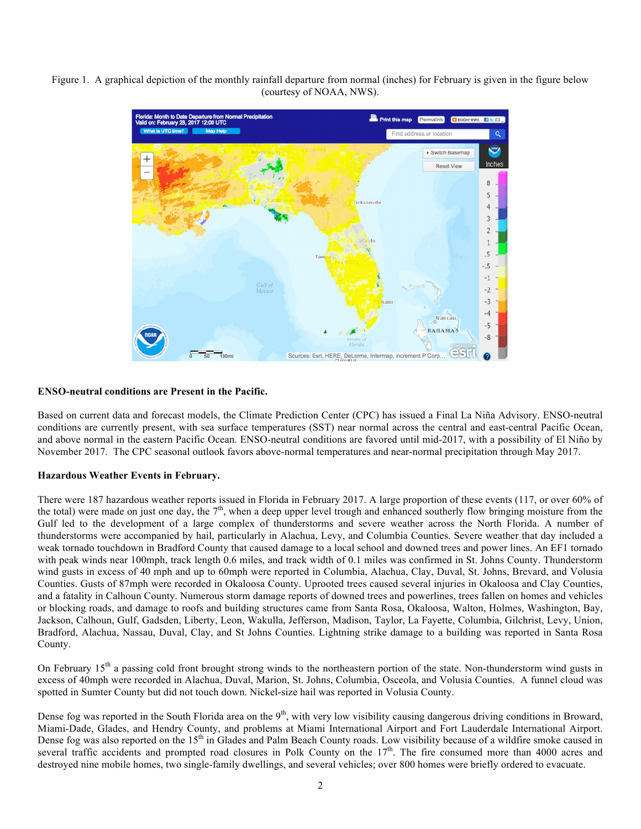Figure 1. A graphical depiction of the monthly rainfall departure from normal (inches) for February is given in the figure below (courtesy of NOAA, NWS).



# **ENSO-neutral conditions are Present in the Pacific.**

Based on current data and forecast models, the Climate Prediction Center (CPC) has issued a Final La Niña Advisory. ENSO-neutral conditions are currently present, with sea surface temperatures (SST) near normal across the central and east-central Pacific Ocean, and above normal in the eastern Pacific Ocean. ENSO-neutral conditions are favored until mid-2017, with a possibility of El Niño by November 2017. The CPC seasonal outlook favors above-normal temperatures and near-normal precipitation through May 2017.

### **Hazardous Weather Events in February.**

There were 187 hazardous weather reports issued in Florida in February 2017. A large proportion of these events (117, or over 60% of the total) were made on just one day, the  $7<sup>th</sup>$ , when a deep upper level trough and enhanced southerly flow bringing moisture from the Gulf led to the development of a large complex of thunderstorms and severe weather across the North Florida. A number of thunderstorms were accompanied by hail, particularly in Alachua, Levy, and Columbia Counties. Severe weather that day included a weak tornado touchdown in Bradford County that caused damage to a local school and downed trees and power lines. An EF1 tornado with peak winds near 100mph, track length 0.6 miles, and track width of 0.1 miles was confirmed in St. Johns County. Thunderstorm wind gusts in excess of 40 mph and up to 60mph were reported in Columbia, Alachua, Clay, Duval, St. Johns, Brevard, and Volusia Counties. Gusts of 87mph were recorded in Okaloosa County. Uprooted trees caused several injuries in Okaloosa and Clay Counties, and a fatality in Calhoun County. Numerous storm damage reports of downed trees and powerlines, trees fallen on homes and vehicles or blocking roads, and damage to roofs and building structures came from Santa Rosa, Okaloosa, Walton, Holmes, Washington, Bay, Jackson, Calhoun, Gulf, Gadsden, Liberty, Leon, Wakulla, Jefferson, Madison, Taylor, La Fayette, Columbia, Gilchrist, Levy, Union, Bradford, Alachua, Nassau, Duval, Clay, and St Johns Counties. Lightning strike damage to a building was reported in Santa Rosa County.

On February  $15<sup>th</sup>$  a passing cold front brought strong winds to the northeastern portion of the state. Non-thunderstorm wind gusts in excess of 40mph were recorded in Alachua, Duval, Marion, St. Johns, Columbia, Osceola, and Volusia Counties. A funnel cloud was spotted in Sumter County but did not touch down. Nickel-size hail was reported in Volusia County.

Dense fog was reported in the South Florida area on the 9<sup>th</sup>, with very low visibility causing dangerous driving conditions in Broward, Miami-Dade, Glades, and Hendry County, and problems at Miami International Airport and Fort Lauderdale International Airport. Dense fog was also reported on the 15<sup>th</sup> in Glades and Palm Beach County roads. Low visibility because of a wildfire smoke caused in several traffic accidents and prompted road closures in Polk County on the 17<sup>th</sup>. The fire consumed more than 4000 acres and destroyed nine mobile homes, two single-family dwellings, and several vehicles; over 800 homes were briefly ordered to evacuate.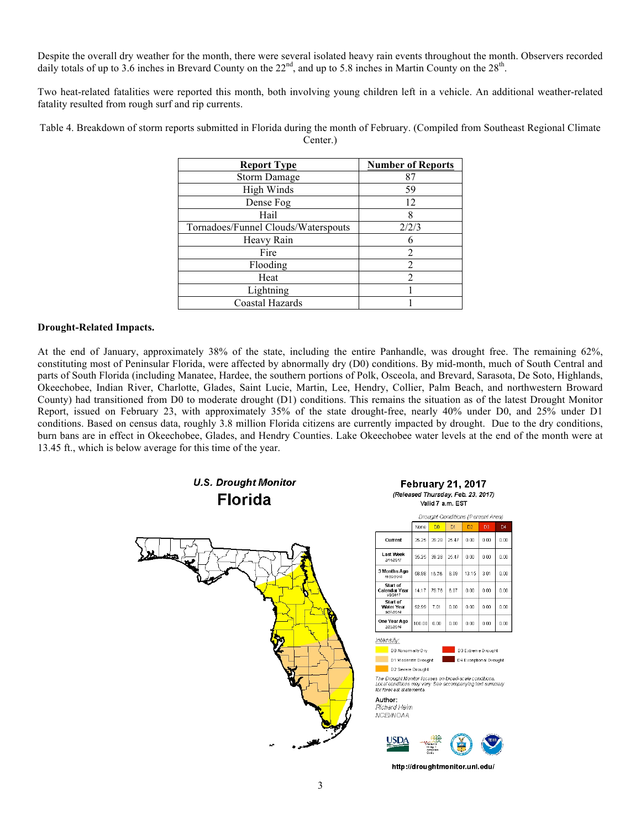Despite the overall dry weather for the month, there were several isolated heavy rain events throughout the month. Observers recorded daily totals of up to 3.6 inches in Brevard County on the  $22<sup>nd</sup>$ , and up to 5.8 inches in Martin County on the  $28<sup>th</sup>$ .

Two heat-related fatalities were reported this month, both involving young children left in a vehicle. An additional weather-related fatality resulted from rough surf and rip currents.

Table 4. Breakdown of storm reports submitted in Florida during the month of February. (Compiled from Southeast Regional Climate Center.)

| <b>Report Type</b>                  | <b>Number of Reports</b> |  |
|-------------------------------------|--------------------------|--|
| <b>Storm Damage</b>                 | 87                       |  |
| High Winds                          | 59                       |  |
| Dense Fog                           | 12                       |  |
| Hail                                | 8                        |  |
| Tornadoes/Funnel Clouds/Waterspouts | 2/2/3                    |  |
| Heavy Rain                          |                          |  |
| Fire                                | $\overline{\mathcal{L}}$ |  |
| Flooding                            | $\mathfrak{D}$           |  |
| Heat                                | $\overline{\mathcal{L}}$ |  |
| Lightning                           |                          |  |
| Coastal Hazards                     |                          |  |

### **Drought-Related Impacts.**

At the end of January, approximately 38% of the state, including the entire Panhandle, was drought free. The remaining 62%, constituting most of Peninsular Florida, were affected by abnormally dry (D0) conditions. By mid-month, much of South Central and parts of South Florida (including Manatee, Hardee, the southern portions of Polk, Osceola, and Brevard, Sarasota, De Soto, Highlands, Okeechobee, Indian River, Charlotte, Glades, Saint Lucie, Martin, Lee, Hendry, Collier, Palm Beach, and northwestern Broward County) had transitioned from D0 to moderate drought (D1) conditions. This remains the situation as of the latest Drought Monitor Report, issued on February 23, with approximately 35% of the state drought-free, nearly 40% under D0, and 25% under D1 conditions. Based on census data, roughly 3.8 million Florida citizens are currently impacted by drought. Due to the dry conditions, burn bans are in effect in Okeechobee, Glades, and Hendry Counties. Lake Okeechobee water levels at the end of the month were at 13.45 ft., which is below average for this time of the year.



http://droughtmonitor.unl.edu/